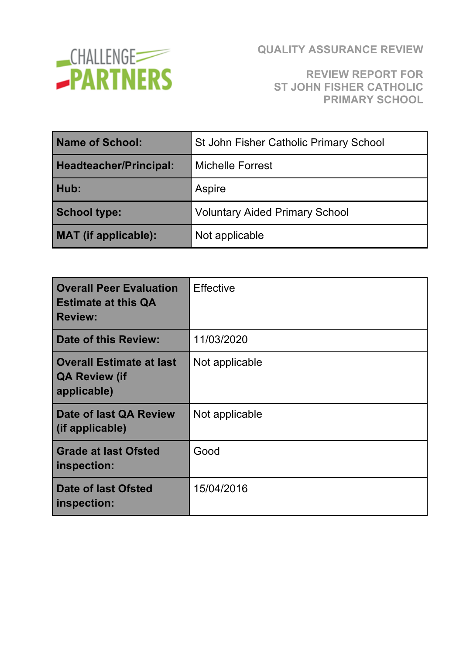

#### **REVIEW REPORT FOR ST JOHN FISHER CATHOLIC PRIMARY SCHOOL**

| Name of School:             | St John Fisher Catholic Primary School |  |
|-----------------------------|----------------------------------------|--|
| Headteacher/Principal:      | <b>Michelle Forrest</b>                |  |
| Hub:                        | Aspire                                 |  |
| <b>School type:</b>         | <b>Voluntary Aided Primary School</b>  |  |
| <b>MAT</b> (if applicable): | Not applicable                         |  |

| <b>Overall Peer Evaluation</b><br><b>Estimate at this QA</b><br><b>Review:</b> | Effective      |
|--------------------------------------------------------------------------------|----------------|
| Date of this Review:                                                           | 11/03/2020     |
| <b>Overall Estimate at last</b><br><b>QA Review (if</b><br>applicable)         | Not applicable |
| Date of last QA Review<br>(if applicable)                                      | Not applicable |
| <b>Grade at last Ofsted</b><br>inspection:                                     | Good           |
| <b>Date of last Ofsted</b><br>inspection:                                      | 15/04/2016     |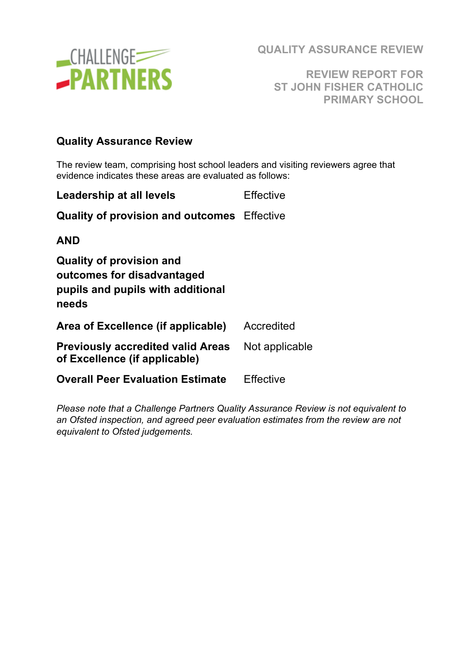

**REVIEW REPORT FOR ST JOHN FISHER CATHOLIC PRIMARY SCHOOL**

#### **Quality Assurance Review**

The review team, comprising host school leaders and visiting reviewers agree that evidence indicates these areas are evaluated as follows:

| <b>Leadership at all levels</b>                                                                             | <b>Effective</b> |
|-------------------------------------------------------------------------------------------------------------|------------------|
| <b>Quality of provision and outcomes</b> Effective                                                          |                  |
| AND                                                                                                         |                  |
| <b>Quality of provision and</b><br>outcomes for disadvantaged<br>pupils and pupils with additional<br>needs |                  |
| Area of Excellence (if applicable)                                                                          | Accredited       |
| Previously accredited valid Areas<br>of Excellence (if applicable)                                          | Not applicable   |
| <b>Overall Peer Evaluation Estimate</b>                                                                     | Effective        |

*Please note that a Challenge Partners Quality Assurance Review is not equivalent to an Ofsted inspection, and agreed peer evaluation estimates from the review are not equivalent to Ofsted judgements.*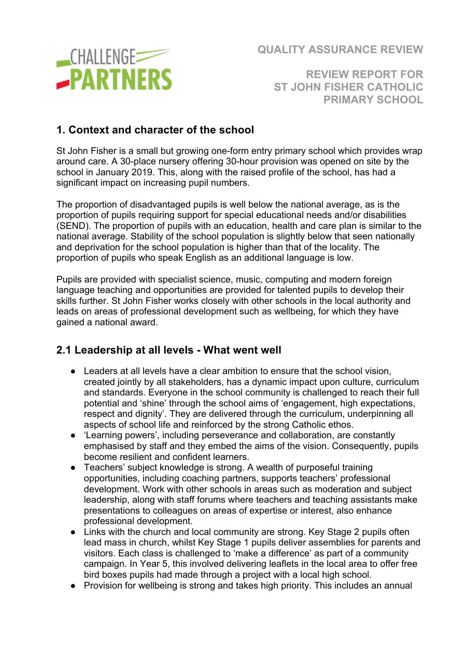

**REVIEW REPORT FOR ST JOHN FISHER CATHOLIC PRIMARY SCHOOL**

### **1. Context and character of the school**

St John Fisher is a small but growing one-form entry primary school which provides wrap around care. A 30-place nursery offering 30-hour provision was opened on site by the school in January 2019. This, along with the raised profile of the school, has had a significant impact on increasing pupil numbers.

The proportion of disadvantaged pupils is well below the national average, as is the proportion of pupils requiring support for special educational needs and/or disabilities (SEND). The proportion of pupils with an education, health and care plan is similar to the national average. Stability of the school population is slightly below that seen nationally and deprivation for the school population is higher than that of the locality. The proportion of pupils who speak English as an additional language is low.

Pupils are provided with specialist science, music, computing and modern foreign language teaching and opportunities are provided for talented pupils to develop their skills further. St John Fisher works closely with other schools in the local authority and leads on areas of professional development such as wellbeing, for which they have gained a national award.

### **2.1 Leadership at all levels - What went well**

- Leaders at all levels have a clear ambition to ensure that the school vision, created jointly by all stakeholders, has a dynamic impact upon culture, curriculum and standards. Everyone in the school community is challenged to reach their full potential and 'shine' through the school aims of 'engagement, high expectations, respect and dignity'. They are delivered through the curriculum, underpinning all aspects of school life and reinforced by the strong Catholic ethos.
- 'Learning powers', including perseverance and collaboration, are constantly emphasised by staff and they embed the aims of the vision. Consequently, pupils become resilient and confident learners.
- Teachers' subject knowledge is strong. A wealth of purposeful training opportunities, including coaching partners, supports teachers' professional development. Work with other schools in areas such as moderation and subject leadership, along with staff forums where teachers and teaching assistants make presentations to colleagues on areas of expertise or interest, also enhance professional development.
- Links with the church and local community are strong. Key Stage 2 pupils often lead mass in church, whilst Key Stage 1 pupils deliver assemblies for parents and visitors. Each class is challenged to 'make a difference' as part of a community campaign. In Year 5, this involved delivering leaflets in the local area to offer free bird boxes pupils had made through a project with a local high school.
- Provision for wellbeing is strong and takes high priority. This includes an annual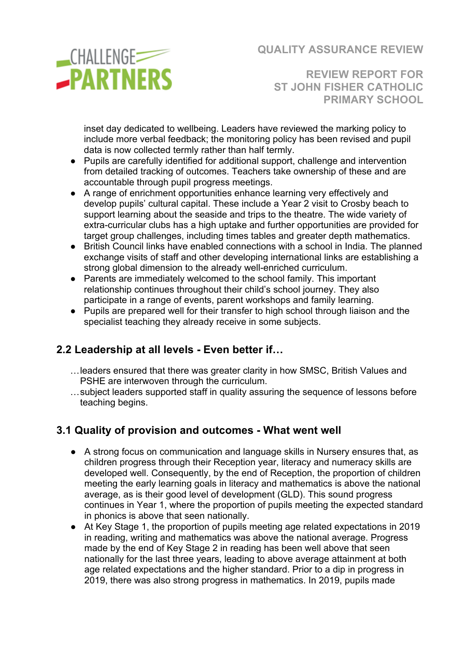

**REVIEW REPORT FOR ST JOHN FISHER CATHOLIC PRIMARY SCHOOL**

inset day dedicated to wellbeing. Leaders have reviewed the marking policy to include more verbal feedback; the monitoring policy has been revised and pupil data is now collected termly rather than half termly.

- Pupils are carefully identified for additional support, challenge and intervention from detailed tracking of outcomes. Teachers take ownership of these and are accountable through pupil progress meetings.
- A range of enrichment opportunities enhance learning very effectively and develop pupils' cultural capital. These include a Year 2 visit to Crosby beach to support learning about the seaside and trips to the theatre. The wide variety of extra-curricular clubs has a high uptake and further opportunities are provided for target group challenges, including times tables and greater depth mathematics.
- British Council links have enabled connections with a school in India. The planned exchange visits of staff and other developing international links are establishing a strong global dimension to the already well-enriched curriculum.
- Parents are immediately welcomed to the school family. This important relationship continues throughout their child's school journey. They also participate in a range of events, parent workshops and family learning.
- Pupils are prepared well for their transfer to high school through liaison and the specialist teaching they already receive in some subjects.

### **2.2 Leadership at all levels - Even better if…**

- …leaders ensured that there was greater clarity in how SMSC, British Values and PSHE are interwoven through the curriculum.
- …subject leaders supported staff in quality assuring the sequence of lessons before teaching begins.

### **3.1 Quality of provision and outcomes - What went well**

- A strong focus on communication and language skills in Nursery ensures that, as children progress through their Reception year, literacy and numeracy skills are developed well. Consequently, by the end of Reception, the proportion of children meeting the early learning goals in literacy and mathematics is above the national average, as is their good level of development (GLD). This sound progress continues in Year 1, where the proportion of pupils meeting the expected standard in phonics is above that seen nationally.
- At Key Stage 1, the proportion of pupils meeting age related expectations in 2019 in reading, writing and mathematics was above the national average. Progress made by the end of Key Stage 2 in reading has been well above that seen nationally for the last three years, leading to above average attainment at both age related expectations and the higher standard. Prior to a dip in progress in 2019, there was also strong progress in mathematics. In 2019, pupils made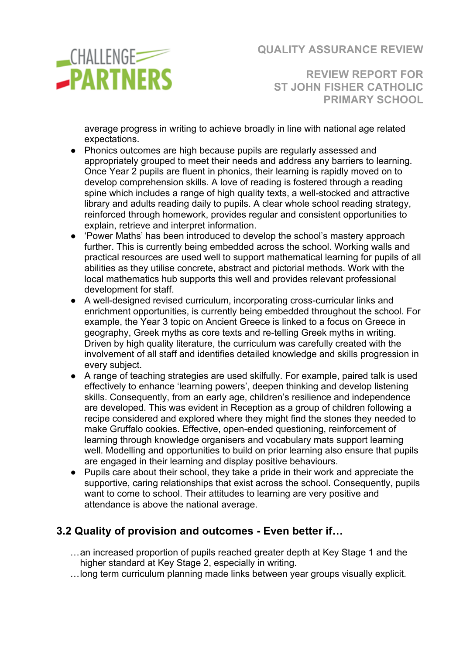

**REVIEW REPORT FOR ST JOHN FISHER CATHOLIC PRIMARY SCHOOL**

average progress in writing to achieve broadly in line with national age related expectations.

- Phonics outcomes are high because pupils are regularly assessed and appropriately grouped to meet their needs and address any barriers to learning. Once Year 2 pupils are fluent in phonics, their learning is rapidly moved on to develop comprehension skills. A love of reading is fostered through a reading spine which includes a range of high quality texts, a well-stocked and attractive library and adults reading daily to pupils. A clear whole school reading strategy, reinforced through homework, provides regular and consistent opportunities to explain, retrieve and interpret information.
- 'Power Maths' has been introduced to develop the school's mastery approach further. This is currently being embedded across the school. Working walls and practical resources are used well to support mathematical learning for pupils of all abilities as they utilise concrete, abstract and pictorial methods. Work with the local mathematics hub supports this well and provides relevant professional development for staff.
- A well-designed revised curriculum, incorporating cross-curricular links and enrichment opportunities, is currently being embedded throughout the school. For example, the Year 3 topic on Ancient Greece is linked to a focus on Greece in geography, Greek myths as core texts and re-telling Greek myths in writing. Driven by high quality literature, the curriculum was carefully created with the involvement of all staff and identifies detailed knowledge and skills progression in every subject.
- A range of teaching strategies are used skilfully. For example, paired talk is used effectively to enhance 'learning powers', deepen thinking and develop listening skills. Consequently, from an early age, children's resilience and independence are developed. This was evident in Reception as a group of children following a recipe considered and explored where they might find the stones they needed to make Gruffalo cookies. Effective, open-ended questioning, reinforcement of learning through knowledge organisers and vocabulary mats support learning well. Modelling and opportunities to build on prior learning also ensure that pupils are engaged in their learning and display positive behaviours.
- Pupils care about their school, they take a pride in their work and appreciate the supportive, caring relationships that exist across the school. Consequently, pupils want to come to school. Their attitudes to learning are very positive and attendance is above the national average.

### **3.2 Quality of provision and outcomes - Even better if…**

- …an increased proportion of pupils reached greater depth at Key Stage 1 and the higher standard at Key Stage 2, especially in writing.
- …long term curriculum planning made links between year groups visually explicit.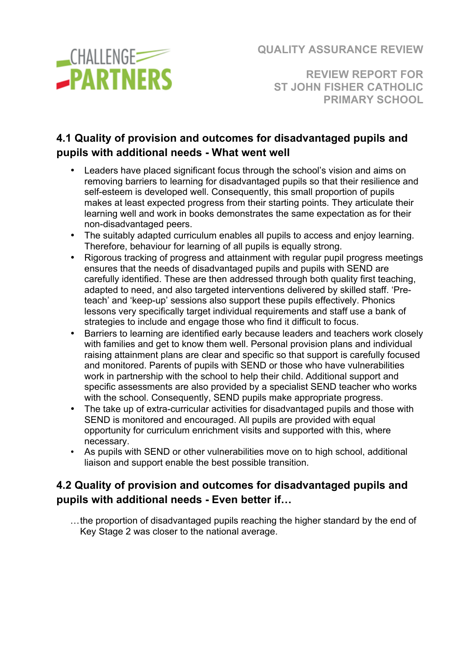

**REVIEW REPORT FOR ST JOHN FISHER CATHOLIC PRIMARY SCHOOL**

## **4.1 Quality of provision and outcomes for disadvantaged pupils and pupils with additional needs - What went well**

- Leaders have placed significant focus through the school's vision and aims on removing barriers to learning for disadvantaged pupils so that their resilience and self-esteem is developed well. Consequently, this small proportion of pupils makes at least expected progress from their starting points. They articulate their learning well and work in books demonstrates the same expectation as for their non-disadvantaged peers.
- The suitably adapted curriculum enables all pupils to access and enjoy learning. Therefore, behaviour for learning of all pupils is equally strong.
- Rigorous tracking of progress and attainment with regular pupil progress meetings ensures that the needs of disadvantaged pupils and pupils with SEND are carefully identified. These are then addressed through both quality first teaching, adapted to need, and also targeted interventions delivered by skilled staff. 'Preteach' and 'keep-up' sessions also support these pupils effectively. Phonics lessons very specifically target individual requirements and staff use a bank of strategies to include and engage those who find it difficult to focus.
- Barriers to learning are identified early because leaders and teachers work closely with families and get to know them well. Personal provision plans and individual raising attainment plans are clear and specific so that support is carefully focused and monitored. Parents of pupils with SEND or those who have vulnerabilities work in partnership with the school to help their child. Additional support and specific assessments are also provided by a specialist SEND teacher who works with the school. Consequently, SEND pupils make appropriate progress.
- The take up of extra-curricular activities for disadvantaged pupils and those with SEND is monitored and encouraged. All pupils are provided with equal opportunity for curriculum enrichment visits and supported with this, where necessary.
- As pupils with SEND or other vulnerabilities move on to high school, additional liaison and support enable the best possible transition.

### **4.2 Quality of provision and outcomes for disadvantaged pupils and pupils with additional needs - Even better if…**

…the proportion of disadvantaged pupils reaching the higher standard by the end of Key Stage 2 was closer to the national average.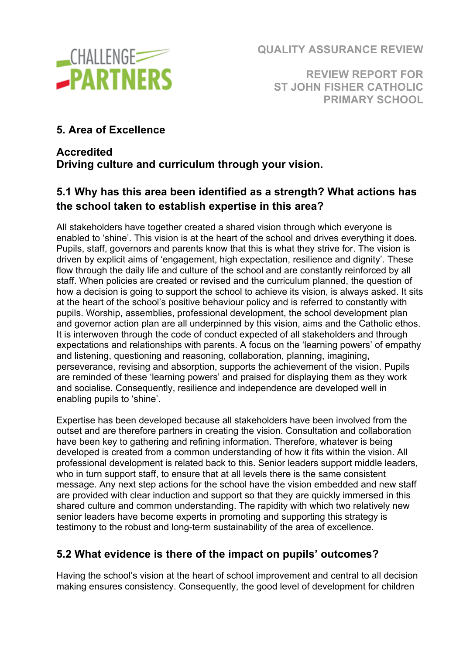

**REVIEW REPORT FOR ST JOHN FISHER CATHOLIC PRIMARY SCHOOL**

**5. Area of Excellence** 

## **Accredited Driving culture and curriculum through your vision.**

# **5.1 Why has this area been identified as a strength? What actions has the school taken to establish expertise in this area?**

All stakeholders have together created a shared vision through which everyone is enabled to 'shine'. This vision is at the heart of the school and drives everything it does. Pupils, staff, governors and parents know that this is what they strive for. The vision is driven by explicit aims of 'engagement, high expectation, resilience and dignity'. These flow through the daily life and culture of the school and are constantly reinforced by all staff. When policies are created or revised and the curriculum planned, the question of how a decision is going to support the school to achieve its vision, is always asked. It sits at the heart of the school's positive behaviour policy and is referred to constantly with pupils. Worship, assemblies, professional development, the school development plan and governor action plan are all underpinned by this vision, aims and the Catholic ethos. It is interwoven through the code of conduct expected of all stakeholders and through expectations and relationships with parents. A focus on the 'learning powers' of empathy and listening, questioning and reasoning, collaboration, planning, imagining, perseverance, revising and absorption, supports the achievement of the vision. Pupils are reminded of these 'learning powers' and praised for displaying them as they work and socialise. Consequently, resilience and independence are developed well in enabling pupils to 'shine'.

Expertise has been developed because all stakeholders have been involved from the outset and are therefore partners in creating the vision. Consultation and collaboration have been key to gathering and refining information. Therefore, whatever is being developed is created from a common understanding of how it fits within the vision. All professional development is related back to this. Senior leaders support middle leaders, who in turn support staff, to ensure that at all levels there is the same consistent message. Any next step actions for the school have the vision embedded and new staff are provided with clear induction and support so that they are quickly immersed in this shared culture and common understanding. The rapidity with which two relatively new senior leaders have become experts in promoting and supporting this strategy is testimony to the robust and long-term sustainability of the area of excellence.

### **5.2 What evidence is there of the impact on pupils' outcomes?**

Having the school's vision at the heart of school improvement and central to all decision making ensures consistency. Consequently, the good level of development for children